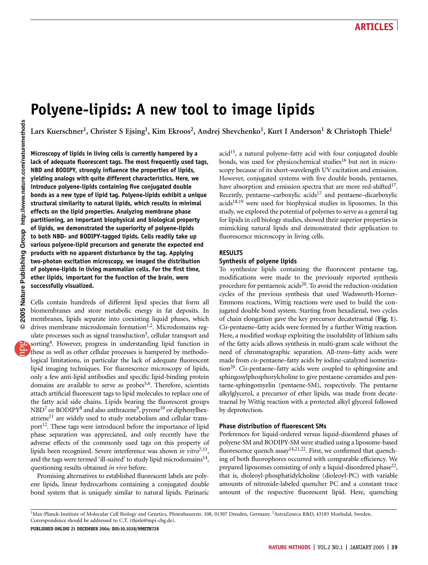# Polyene-lipids: A new tool to image lipids

Lars Kuerschner<sup>1</sup>, Christer S Ejsing<sup>1</sup>, Kim Ekroos<sup>2</sup>, Andrej Shevchenko<sup>1</sup>, Kurt I Anderson<sup>1</sup> & Christoph Thiele<sup>1</sup>

Microscopy of lipids in living cells is currently hampered by a lack of adequate fluorescent tags. The most frequently used tags, NBD and BODIPY, strongly influence the properties of lipids, yielding analogs with quite different characteristics. Here, we introduce polyene-lipids containing five conjugated double bonds as a new type of lipid tag. Polyene-lipids exhibit a unique structural similarity to natural lipids, which results in minimal effects on the lipid properties. Analyzing membrane phase partitioning, an important biophysical and biological property of lipids, we demonstrated the superiority of polyene-lipids to both NBD- and BODIPY-tagged lipids. Cells readily take up various polyene-lipid precursors and generate the expected end products with no apparent disturbance by the tag. Applying two-photon excitation microscopy, we imaged the distribution of polyene-lipids in living mammalian cells. For the first time, ether lipids, important for the function of the brain, were successfully visualized.

Cells contain hundreds of different lipid species that form all biomembranes and store metabolic energy in fat deposits. In membranes, lipids separate into coexisting liquid phases, which drives membrane microdomain formation<sup>1,2</sup>. Microdomains regulate processes such as signal transduction<sup>3</sup>, cellular transport and sorting<sup>4</sup>. However, progress in understanding lipid function in these as well as other cellular processes is hampered by methodological limitations, in particular the lack of adequate fluorescent lipid imaging techniques. For fluorescence microscopy of lipids, only a few anti-lipid antibodies and specific lipid-binding protein domains are available to serve as probes<sup>5,6</sup>. Therefore, scientists attach artificial fluorescent tags to lipid molecules to replace one of the fatty acid side chains. Lipids bearing the fluorescent groups NBD<sup>7</sup> or BODIPY<sup>8</sup> and also anthracene<sup>9</sup>, pyrene<sup>10</sup> or diphenylhexatriene $^{11}$  are widely used to study metabolism and cellular transport<sup>12</sup>. These tags were introduced before the importance of lipid phase separation was appreciated, and only recently have the adverse effects of the commonly used tags on this property of lipids been recognized. Severe interference was shown in vitro<sup>7,13</sup>, and the tags were termed 'ill-suited' to study lipid microdomains<sup>14</sup>, questioning results obtained in vivo before.

Promising alternatives to established fluorescent labels are polyene lipids, linear hydrocarbons containing a conjugated double bond system that is uniquely similar to natural lipids. Parinaric

 $acid<sup>15</sup>$ , a natural polyene–fatty acid with four conjugated double bonds, was used for physicochemical studies<sup>16</sup> but not in microscopy because of its short-wavelength UV excitation and emission. However, conjugated systems with five double bonds, pentaenes, have absorption and emission spectra that are more red-shifted<sup>17</sup>. Recently, pentaene–carboxylic acids<sup>17</sup> and pentaene–dicarboxylic acids18,19 were used for biophysical studies in liposomes. In this study, we explored the potential of polyenes to serve as a general tag for lipids in cell biology studies, showed their superior properties in mimicking natural lipids and demonstrated their application to fluorescence microscopy in living cells.

### RESULTS

### Synthesis of polyene lipids

To synthesize lipids containing the fluorescent pentaene tag, modifications were made to the previously reported synthesis procedure for pentaenoic acids $^{20}$ . To avoid the reduction-oxidation cycles of the previous synthesis that used Wadsworth-Horner-Emmons reactions, Wittig reactions were used to build the conjugated double bond system. Starting from hexadienal, two cycles of chain elongation gave the key precursor decatetraenal (Fig. 1). Cis-pentaene–fatty acids were formed by a further Wittig reaction. Here, a modified workup exploiting the insolubility of lithium salts of the fatty acids allows synthesis in multi-gram scale without the need of chromatographic separation. All-trans-fatty acids were made from cis-pentaene–fatty acids by iodine-catalyzed isomerization<sup>20</sup>. Cis-pentaene–fatty acids were coupled to sphingosine and sphingosylphosphorylcholine to give pentaene-ceramides and pentaene-sphingomyelin (pentaene-SM), respectively. The pentaene alkylglycerol, a precursor of ether lipids, was made from decatetraenal by Wittig reaction with a protected alkyl glycerol followed by deprotection.

### Phase distribution of fluorescent SMs

Preferences for liquid-ordered versus liquid-disordered phases of polyene-SM and BODIPY-SM were studied using a liposome-based fluorescence quench assay<sup>14,21,22</sup>. First, we confirmed that quenching of both fluorophores occurred with comparable efficiency. We prepared liposomes consisting of only a liquid-disordered phase<sup>22</sup>, that is, dioleoyl-phosphatidylcholine (dioleoyl-PC) with variable amounts of nitroxide-labeled quencher PC and a constant trace amount of the respective fluorescent lipid. Here, quenching

<sup>&</sup>lt;sup>1</sup>Max-Planck-Institute of Molecular Cell Biology and Genetics, Pfotenhauerstr. 108, 01307 Dresden, Germany. <sup>2</sup>AstraZeneca R&D, 43183 Moelndal, Sweden. Correspondence should be addressed to C.T. (thiele@mpi-cbg.de).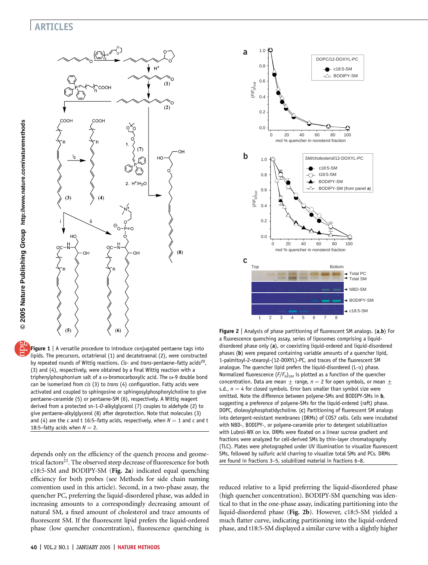# ARTICLES



Figure 1 | A versatile procedure to introduce conjugated pentaene tags into lipids. The precursors, octatrienal (1) and decatetraenal (2), were constructed by repeated rounds of Wittig reactions. Cis- and trans-pentaene-fatty acids<sup>20</sup>, (3) and (4), respectively, were obtained by a final Wittig reaction with a triphenylphosphonium salt of a  $\omega$ -bromocarboxylic acid. The  $\omega$ -9 double bond can be isomerized from cis (3) to trans (4) configuration. Fatty acids were activated and coupled to sphingosine or sphingosylphosphorylcholine to give pentaene-ceramide (5) or pentaene-SM (6), respectively. A Wittig reagent derived from a protected sn-1-O-alkylglycerol (7) couples to aldehyde (2) to give pentaene-alkylglycerol (8) after deprotection. Note that molecules (3) and (4) are the c and t 16:5–fatty acids, respectively, when  $N = 1$  and c and t 18:5–fatty acids when  $N = 2$ .

depends only on the efficiency of the quench process and geometrical factors<sup>21</sup>. The observed steep decrease of fluorescence for both c18:5-SM and BODIPY-SM (Fig. 2a) indicated equal quenching efficiency for both probes (see Methods for side chain naming convention used in this article). Second, in a two-phase assay, the quencher PC, preferring the liquid-disordered phase, was added in increasing amounts to a correspondingly decreasing amount of natural SM, a fixed amount of cholesterol and trace amounts of fluorescent SM. If the fluorescent lipid prefers the liquid-ordered phase (low quencher concentration), fluorescence quenching is



**Figure 2** | Analysis of phase partitioning of fluorescent SM analogs. (a,b) For a fluorescence quenching assay, series of liposomes comprising a liquiddisordered phase only (a), or coexisting liquid-ordered and liquid-disordered phases (b) were prepared containing variable amounts of a quencher lipid, 1-palmitoyl-2-stearoyl-(12-DOXYL)-PC, and traces of the fluorescent SM analogue. The quencher lipid prefers the liquid-disordered (L- $\alpha$ ) phase. Normalized fluorescence  $(F/F_0)_{cor}$  is plotted as a function of the quencher concentration. Data are mean  $\pm$  range,  $n = 2$  for open symbols, or mean  $\pm$ s.d.,  $n = 4$  for closed symbols. Error bars smaller than symbol size were omitted. Note the difference between polyene-SMs and BODIPY-SMs in b, suggesting a preference of polyene-SMs for the liquid-ordered (raft) phase. DOPC, dioleoylphosphatidycholine. (c) Partitioning of fluorescent SM analogs into detergent-resistant membranes (DRMs) of COS7 cells. Cells were incubated with NBD-, BODIPY-, or polyene-ceramide prior to detergent solubilization with Lubrol-WX on ice. DRMs were floated on a linear sucrose gradient and fractions were analyzed for cell-derived SMs by thin-layer chromatography (TLC). Plates were photographed under UV illumination to visualize fluorescent SMs, followed by sulfuric acid charring to visualize total SMs and PCs. DRMs are found in fractions 3–5, solubilized material in fractions 6–8.

reduced relative to a lipid preferring the liquid-disordered phase (high quencher concentration). BODIPY-SM quenching was identical to that in the one-phase assay, indicating partitioning into the liquid-disordered phase (Fig. 2b). However, c18:5-SM yielded a much flatter curve, indicating partitioning into the liquid-ordered phase, and t18:5-SM displayed a similar curve with a slightly higher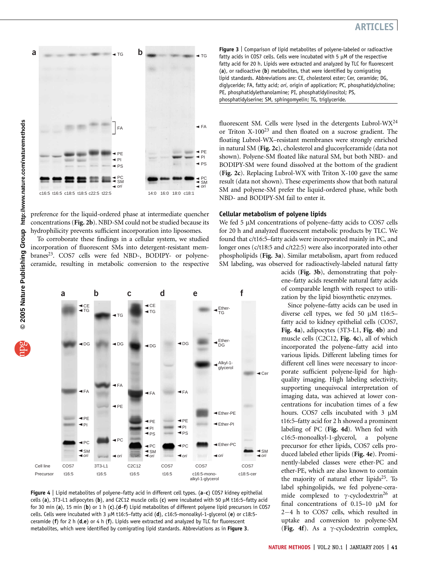

preference for the liquid-ordered phase at intermediate quencher concentrations (Fig. 2b). NBD-SM could not be studied because its hydrophilicity prevents sufficient incorporation into liposomes.

To corroborate these findings in a cellular system, we studied incorporation of fluorescent SMs into detergent-resistant membranes<sup>23</sup>. COS7 cells were fed NBD-, BODIPY- or polyeneceramide, resulting in metabolic conversion to the respective



Figure 4 | Lipid metabolites of polyene-fatty acid in different cell types. (a-c) COS7 kidney epithelial cells (a), 3T3-L1 adipocytes (b), and C2C12 muscle cells (c) were incubated with 50  $\mu$ M t16:5–fatty acid for 30 min (a), 15 min (b) or 1 h (c).(d-f) Lipid metabolites of different polyene lipid precursors in COS7 cells. Cells were incubated with 3 µM t16:5-fatty acid (d), c16:5-monoalkyl-1-glycerol (e) or c18:5ceramide ( $f$ ) for 2 h ( $d,e$ ) or 4 h ( $f$ ). Lipids were extracted and analyzed by TLC for fluorescent metabolites, which were identified by comigrating lipid standards. Abbreviations as in Figure 3.

Figure 3 | Comparison of lipid metabolites of polyene-labeled or radioactive fatty acids in COS7 cells. Cells were incubated with 5  $\mu$ M of the respective fatty acid for 20 h. Lipids were extracted and analyzed by TLC for fluorescent (a), or radioactive (b) metabolites, that were identified by comigrating lipid standards. Abbreviations are: CE, cholesterol ester; Cer, ceramide; DG, diglyceride; FA, fatty acid; ori, origin of application; PC, phosphatidylcholine; PE, phosphatidylethanolamine; PI, phosphatidylinositol; PS, phosphatidylserine; SM, sphingomyelin; TG, triglyceride.

fluorescent SM. Cells were lysed in the detergents Lubrol-WX24 or Triton  $X-100^{23}$  and then floated on a sucrose gradient. The floating Lubrol-WX–resistant membranes were strongly enriched in natural SM (Fig. 2c), cholesterol and glucosylceramide (data not shown). Polyene-SM floated like natural SM, but both NBD- and BODIPY-SM were found dissolved at the bottom of the gradient (Fig. 2c). Replacing Lubrol-WX with Triton X-100 gave the same result (data not shown). These experiments show that both natural SM and polyene-SM prefer the liquid-ordered phase, while both NBD- and BODIPY-SM fail to enter it.

#### Cellular metabolism of polyene lipids

We fed 5 µM concentrations of polyene–fatty acids to COS7 cells for 20 h and analyzed fluorescent metabolic products by TLC. We found that c/t16:5–fatty acids were incorporated mainly in PC, and longer ones (c/t18:5 and c/t22:5) were also incorporated into other phospholipids (Fig. 3a). Similar metabolism, apart from reduced SM labeling, was observed for radioactively-labeled natural fatty

> acids (Fig. 3b), demonstrating that polyene–fatty acids resemble natural fatty acids of comparable length with respect to utilization by the lipid biosynthetic enzymes.

> Since polyene–fatty acids can be used in diverse cell types, we fed 50 µM t16:5fatty acid to kidney epithelial cells (COS7, Fig. 4a), adipocytes (3T3-L1, Fig. 4b) and muscle cells (C2C12, Fig. 4c), all of which incorporated the polyene–fatty acid into various lipids. Different labeling times for different cell lines were necessary to incorporate sufficient polyene-lipid for highquality imaging. High labeling selectivity, supporting unequivocal interpretation of imaging data, was achieved at lower concentrations for incubation times of a few hours. COS7 cells incubated with  $3 \mu M$ t16:5–fatty acid for 2 h showed a prominent labeling of PC (Fig. 4d). When fed with c16:5-monoalkyl-1-glycerol, a polyene precursor for ether lipids, COS7 cells produced labeled ether lipids (Fig. 4e). Prominently-labeled classes were ether-PC and ether-PE, which are also known to contain the majority of natural ether lipids $25$ . To label sphingolipids, we fed polyene-ceramide complexed to  $\gamma$ -cyclodextrin<sup>26</sup> at final concentrations of  $0.15-10$   $\mu$ M for 2-4 h to COS7 cells, which resulted in uptake and conversion to polyene-SM (Fig. 4f). As a  $\gamma$ -cyclodextrin complex,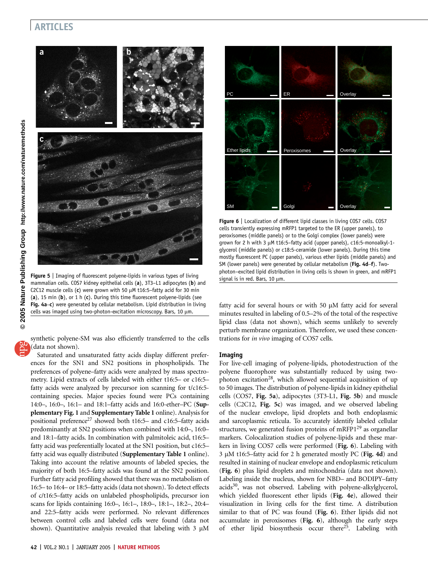### ARTICLES



Figure 5 | Imaging of fluorescent polyene-lipids in various types of living mammalian cells. COS7 kidney epithelial cells (a), 3T3-L1 adipocytes (b) and C2C12 muscle cells (c) were grown with 50  $\mu$ M t16:5-fatty acid for 30 min (a), 15 min (b), or 1 h (c). During this time fluorescent polyene-lipids (see Fig. 4a–c) were generated by cellular metabolism. Lipid distribution in living cells was imaged using two-photon-excitation microscopy. Bars, 10  $\mu$ m.

synthetic polyene-SM was also efficiently transferred to the cells (data not shown).

Saturated and unsaturated fatty acids display different preferences for the SN1 and SN2 positions in phospholipids. The preferences of polyene–fatty acids were analyzed by mass spectrometry. Lipid extracts of cells labeled with either t16:5– or c16:5– fatty acids were analyzed by precursor ion scanning for t/c16:5 containing species. Major species found were PCs containing 14:0–, 16:0–, 16:1– and 18:1–fatty acids and 16:0-ether–PC (Supplementary Fig. 1 and Supplementary Table 1 online). Analysis for positional preference<sup>27</sup> showed both t16:5– and c16:5–fatty acids predominantly at SN2 positions when combined with 14:0–, 16:0– and 18:1–fatty acids. In combination with palmitoleic acid, t16:5– fatty acid was preferentially located at the SN1 position, but c16:5– fatty acid was equally distributed (Supplementary Table 1 online). Taking into account the relative amounts of labeled species, the majority of both 16:5–fatty acids was found at the SN2 position. Further fatty acid profiling showed that there was no metabolism of 16:5– to 16:4– or 18:5–fatty acids (data not shown). To detect effects of c/t16:5–fatty acids on unlabeled phospholipids, precursor ion scans for lipids containing 16:0–, 16:1–, 18:0–, 18:1–, 18:2–, 20:4– and 22:5–fatty acids were performed. No relevant differences between control cells and labeled cells were found (data not shown). Quantitative analysis revealed that labeling with  $3 \mu M$ 



Figure 6 | Localization of different lipid classes in living COS7 cells. COS7 cells transiently expressing mRFP1 targeted to the ER (upper panels), to peroxisomes (middle panels) or to the Golgi complex (lower panels) were grown for 2 h with 3 µM t16:5-fatty acid (upper panels), c16:5-monoalkyl-1glycerol (middle panels) or c18:5-ceramide (lower panels). During this time mostly fluorescent PC (upper panels), various ether lipids (middle panels) and SM (lower panels) were generated by cellular metabolism (Fig. 4d–f). Twophoton–excited lipid distribution in living cells is shown in green, and mRFP1 signal is in red. Bars, 10  $\mu$ m.

fatty acid for several hours or with 50 µM fatty acid for several minutes resulted in labeling of 0.5–2% of the total of the respective lipid class (data not shown), which seems unlikely to severely perturb membrane organization. Therefore, we used these concentrations for in vivo imaging of COS7 cells.

#### Imaging

For live-cell imaging of polyene-lipids, photodestruction of the polyene fluorophore was substantially reduced by using twophoton excitation<sup>28</sup>, which allowed sequential acquisition of up to 50 images. The distribution of polyene-lipids in kidney epithelial cells (COS7, Fig. 5a), adipocytes (3T3-L1, Fig. 5b) and muscle cells (C2C12, Fig. 5c) was imaged, and we observed labeling of the nuclear envelope, lipid droplets and both endoplasmic and sarcoplasmic reticula. To accurately identify labeled cellular structures, we generated fusion proteins of mRFP1<sup>29</sup> as organellar markers. Colocalization studies of polyene-lipids and these markers in living COS7 cells were performed (Fig. 6). Labeling with  $3 \mu$ M t16:5–fatty acid for 2 h generated mostly PC (Fig. 4d) and resulted in staining of nuclear envelope and endoplasmic reticulum (Fig. 6) plus lipid droplets and mitochondria (data not shown). Labeling inside the nucleus, shown for NBD– and BODIPY–fatty  $acids<sup>30</sup>$ , was not observed. Labeling with polyene-alkylglycerol, which yielded fluorescent ether lipids (Fig. 4e), allowed their visualization in living cells for the first time. A distribution similar to that of PC was found (Fig. 6). Ether lipids did not accumulate in peroxisomes (Fig. 6), although the early steps of ether lipid biosynthesis occur there<sup>25</sup>. Labeling with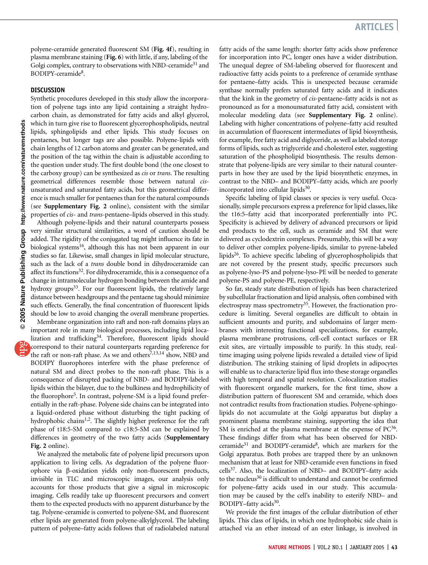polyene-ceramide generated fluorescent SM (Fig. 4f), resulting in plasma membrane staining (Fig. 6) with little, if any, labeling of the Golgi complex, contrary to observations with NBD-ceramide<sup>31</sup> and BODIPY-ceramide8.

#### **DISCUSSION**

Synthetic procedures developed in this study allow the incorporation of polyene tags into any lipid containing a straight hydrocarbon chain, as demonstrated for fatty acids and alkyl glycerol, which in turn give rise to fluorescent glycerophospholipids, neutral lipids, sphingolipids and ether lipids. This study focuses on pentaenes, but longer tags are also possible. Polyene-lipids with chain lengths of 12 carbon atoms and greater can be generated, and the position of the tag within the chain is adjustable according to the question under study. The first double bond (the one closest to the carboxy group) can be synthesized as *cis* or *trans*. The resulting geometrical differences resemble those between natural cisunsaturated and saturated fatty acids, but this geometrical difference is much smaller for pentaenes than for the natural compounds (see Supplementary Fig. 2 online), consistent with the similar properties of cis- and trans-pentaene–lipids observed in this study. Although polyene-lipids and their natural counterparts possess very similar structural similarities, a word of caution should be added. The rigidity of the conjugated tag might influence its fate in biological systems<sup>16</sup>, although this has not been apparent in our studies so far. Likewise, small changes in lipid molecular structure, such as the lack of a trans double bond in dihydroceramide can affect its functions<sup>32</sup>. For dihydroceramide, this is a consequence of a change in intramolecular hydrogen bonding between the amide and hydroxy groups<sup>33</sup>. For our fluorescent lipids, the relatively large distance between headgroups and the pentaene tag should minimize such effects. Generally, the final concentration of fluorescent lipids should be low to avoid changing the overall membrane properties. Membrane organization into raft and non-raft domains plays an important role in many biological processes, including lipid loca-

lization and trafficking<sup>34</sup>. Therefore, fluorescent lipids should correspond to their natural counterparts regarding preference for the raft or non-raft phase. As we and others<sup>7,13,14</sup> show, NBD and BODIPY fluorophores interfere with the phase preference of natural SM and direct probes to the non-raft phase. This is a consequence of disrupted packing of NBD- and BODIPY-labeled lipids within the bilayer, due to the bulkiness and hydrophilicity of the fluorophore<sup>5</sup>. In contrast, polyene-SM is a lipid found preferentially in the raft-phase. Polyene side chains can be integrated into a liquid-ordered phase without disturbing the tight packing of hydrophobic chains<sup>1,2</sup>. The slightly higher preference for the raft phase of t18:5-SM compared to c18:5-SM can be explained by differences in geometry of the two fatty acids (Supplementary Fig. 2 online).

We analyzed the metabolic fate of polyene lipid precursors upon application to living cells. As degradation of the polyene fluorophore via b-oxidation yields only non-fluorescent products, invisible in TLC and microscopic images, our analysis only accounts for those products that give a signal in microscopic imaging. Cells readily take up fluorescent precursors and convert them to the expected products with no apparent disturbance by the tag. Polyene-ceramide is converted to polyene-SM, and fluorescent ether lipids are generated from polyene-alkylglycerol. The labeling pattern of polyene–fatty acids follows that of radiolabeled natural fatty acids of the same length: shorter fatty acids show preference for incorporation into PC, longer ones have a wider distribution. The unequal degree of SM-labeling observed for fluorescent and radioactive fatty acids points to a preference of ceramide synthase for pentaene–fatty acids. This is unexpected because ceramide synthase normally prefers saturated fatty acids and it indicates that the kink in the geometry of cis-pentaene–fatty acids is not as pronounced as for a monounsaturated fatty acid, consistent with molecular modeling data (see Supplementary Fig. 2 online). Labeling with higher concentrations of polyene–fatty acid resulted in accumulation of fluorescent intermediates of lipid biosynthesis, for example, free fatty acid and diglyceride, as well as labeled storage forms of lipids, such as triglyceride and cholesterol ester, suggesting saturation of the phospholipid biosynthesis. The results demonstrate that polyene-lipids are very similar to their natural counterparts in how they are used by the lipid biosynthetic enzymes, in contrast to the NBD– and BODIPY–fatty acids, which are poorly incorporated into cellular lipids $30$ .

Specific labeling of lipid classes or species is very useful. Occasionally, simple precursors express a preference for lipid classes, like the t16:5–fatty acid that incorporated preferentially into PC. Specificity is achieved by delivery of advanced precursors or lipid end products to the cell, such as ceramide and SM that were delivered as cyclodextrin complexes. Presumably, this will be a way to deliver other complex polyene-lipids, similar to pyrene-labeled lipids<sup>26</sup>. To achieve specific labeling of glycerophospholipids that are not covered by the present study, specific precursors such as polyene-lyso-PS and polyene-lyso-PE will be needed to generate polyene-PS and polyene-PE, respectively.

So far, steady state distribution of lipids has been characterized by subcellular fractionation and lipid analysis, often combined with electrospray mass spectrometry<sup>35</sup>. However, the fractionation procedure is limiting. Several organelles are difficult to obtain in sufficient amounts and purity, and subdomains of larger membranes with interesting functional specializations, for example, plasma membrane protrusions, cell-cell contact surfaces or ER exit sites, are virtually impossible to purify. In this study, realtime imaging using polyene lipids revealed a detailed view of lipid distribution. The striking staining of lipid droplets in adipocytes will enable us to characterize lipid flux into these storage organelles with high temporal and spatial resolution. Colocalization studies with fluorescent organelle markers, for the first time, show a distribution pattern of fluorescent SM and ceramide, which does not contradict results from fractionation studies. Polyene-sphingolipids do not accumulate at the Golgi apparatus but display a prominent plasma membrane staining, supporting the idea that SM is enriched at the plasma membrane at the expense of  $PC^{36}$ . These findings differ from what has been observed for NBDceramide<sup>31</sup> and BODIPY-ceramide<sup>8</sup>, which are markers for the Golgi apparatus. Both probes are trapped there by an unknown mechanism that at least for NBD-ceramide even functions in fixed cells37. Also, the localization of NBD– and BODIPY–fatty acids to the nucleus<sup>30</sup> is difficult to understand and cannot be confirmed for polyene–fatty acids used in our study. This accumulation may be caused by the cell's inability to esterify NBD– and BODIPY-fatty acids<sup>30</sup>.

We provide the first images of the cellular distribution of ether lipids. This class of lipids, in which one hydrophobic side chain is attached via an ether instead of an ester linkage, is involved in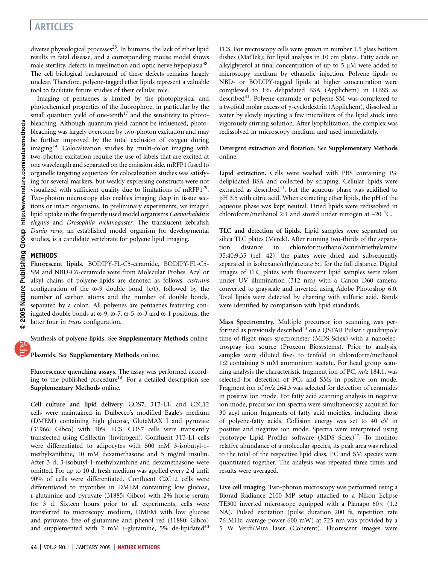# ARTICLES

diverse physiological processes<sup>25</sup>. In humans, the lack of ether lipid results in fatal disease, and a corresponding mouse model shows male sterility, defects in myelination and optic nerve hypoplasia<sup>38</sup>. The cell biological background of these defects remains largely unclear. Therefore, polyene-tagged ether lipids represent a valuable tool to facilitate future studies of their cellular role.

Imaging of pentaenes is limited by the photophysical and photochemical properties of the fluorophore, in particular by the small quantum yield of one-tenth<sup>17</sup> and the sensitivity to photobleaching. Although quantum yield cannot be influenced, photobleaching was largely overcome by two-photon excitation and may be further improved by the total exclusion of oxygen during imaging<sup>39</sup>. Colocalization studies by multi-color imaging with two-photon excitation require the use of labels that are excited at one wavelength and separated on the emission side. mRFP1 fused to organelle targeting sequences for colocalization studies was satisfying for several markers, but weakly expressing constructs were not visualized with sufficient quality due to limitations of  $mRFP1^{29}$ . Two-photon microscopy also enables imaging deep in tissue sections or intact organisms. In preliminary experiments, we imaged lipid uptake in the frequently used model organisms Caenorhabditis elegans and Drosophila melanogaster. The translucent zebrafish Danio rerio, an established model organism for developmental studies, is a candidate vertebrate for polyene lipid imaging.

### METHODS

Fluorescent lipids. BODIPY-FL-C5-ceramide, BODIPY-FL-C5- SM and NBD-C6-ceramide were from Molecular Probes. Acyl or alkyl chains of polyene-lipids are denoted as follows: cis/trans configuration of the  $\omega$ -9 double bond (c/t), followed by the number of carbon atoms and the number of double bonds, separated by a colon. All polyenes are pentaenes featuring conjugated double bonds at  $\omega$ -9,  $\omega$ -7,  $\omega$ -5,  $\omega$ -3 and  $\omega$ -1 positions; the latter four in trans configuration.

Synthesis of polyene-lipids. See Supplementary Methods online.

#### Plasmids. See Supplementary Methods online.

Fluorescence quenching assays. The assay was performed according to the published procedure<sup>14</sup>. For a detailed description see Supplementary Methods online.

Cell culture and lipid delivery. COS7, 3T3-L1, and C2C12 cells were maintained in Dulbecco's modified Eagle's medium (DMEM) containing high glucose, GlutaMAX I and pyruvate (31966; Gibco) with 10% FCS. COS7 cells were transiently transfected using Cellfectin (Invitrogen). Confluent 3T3-L1 cells were differentiated to adipocytes with 500 mM 3-isobutyl-1 methylxanthine, 10 mM dexamethasone and 5 mg/ml insulin. After 3 d, 3-isobutyl-1-methylxanthine and dexamethasone were omitted. For up to 10 d, fresh medium was applied every 2 d until 90% of cells were differentiated. Confluent C2C12 cells were differentiated to myotubes in DMEM containing low glucose, L-glutamine and pyruvate (31885; Gibco) with 2% horse serum for 3 d. Sixteen hours prior to all experiments, cells were transferred to microscopy medium, DMEM with low glucose and pyruvate, free of glutamine and phenol red (11880; Gibco) and supplemented with 2 mM L-glutamine, 5% de-lipidated $40$  FCS. For microscopy cells were grown in number 1.5 glass bottom dishes (MatTek); for lipid analysis in 10 cm plates. Fatty acids or alkylglycerol at final concentration of up to  $5 \mu M$  were added to microscopy medium by ethanolic injection. Polyene lipids or NBD- or BODIPY-tagged lipids at higher concentration were complexed to 1% delipidated BSA (Applichem) in HBSS as described<sup>31</sup>. Polyene-ceramide or polyene-SM was complexed to a twofold molar excess of  $\gamma$ -cyclodextrin (Applichem), dissolved in water by slowly injecting a few microliters of the lipid stock into vigorously stirring solution. After lyophilization, the complex was redissolved in microscopy medium and used immediately.

#### Detergent extraction and flotation. See Supplementary Methods online.

Lipid extraction. Cells were washed with PBS containing 1% delipidated BSA and collected by scraping. Cellular lipids were extracted as described $41$ , but the aqueous phase was acidified to pH 3.5 with citric acid. When extracting ether lipids, the pH of the aqueous phase was kept neutral. Dried lipids were redissolved in chloroform/methanol 2:1 and stored under nitrogen at  $-20$  °C.

TLC and detection of lipids. Lipid samples were separated on silica TLC plates (Merck). After running two-thirds of the separation distance in chloroform/ethanol/water/triethylamine 35:40:9:35 (ref. 42), the plates were dried and subsequently separated in isohexane/ethylacetate 5:1 for the full distance. Digital images of TLC plates with fluorescent lipid samples were taken under UV illumination (312 nm) with a Canon D60 camera, converted to grayscale and inverted using Adobe Photoshop 6.0. Total lipids were detected by charring with sulfuric acid. Bands were identified by comparison with lipid standards.

Mass Spectrometry. Multiple precursor ion scanning was performed as previously described<sup>43</sup> on a QSTAR Pulsar i quadrupole time-of-flight mass spectrometer (MDS Sciex) with a nanoelectrospray ion source (Proxeon Biosystems). Prior to analysis, samples were diluted five- to tenfold in chloroform/methanol 1:2 containing 5 mM ammonium acetate. For head group scanning analysis the characteristic fragment ion of PC,  $m/z$  184.1, was selected for detection of PCs and SMs in positive ion mode. Fragment ion of m/z 264.3 was selected for detection of ceramides in positive ion mode. For fatty acid scanning analysis in negative ion mode, precursor ion spectra were simultaneously acquired for 30 acyl anion fragments of fatty acid moieties, including those of polyene-fatty acids. Collision energy was set to 40 eV in positive and negative ion mode. Spectra were interpreted using prototype Lipid Profiler software (MDS Sciex)<sup>27</sup>. To monitor relative abundance of a molecular species, its peak area was related to the total of the respective lipid class. PC and SM species were quantitated together. The analysis was repeated three times and results were averaged.

Live cell imaging. Two-photon microscopy was performed using a Biorad Radiance 2100 MP setup attached to a Nikon Eclipse TE300 inverted microscope equipped with a Planapo  $60 \times (1.2)$ NA). Pulsed excitation (pulse duration 200 fs, repetition rate 76 MHz, average power 600 mW) at 725 nm was provided by a 5 W Verdi/Mira laser (Coherent). Fluorescent images were